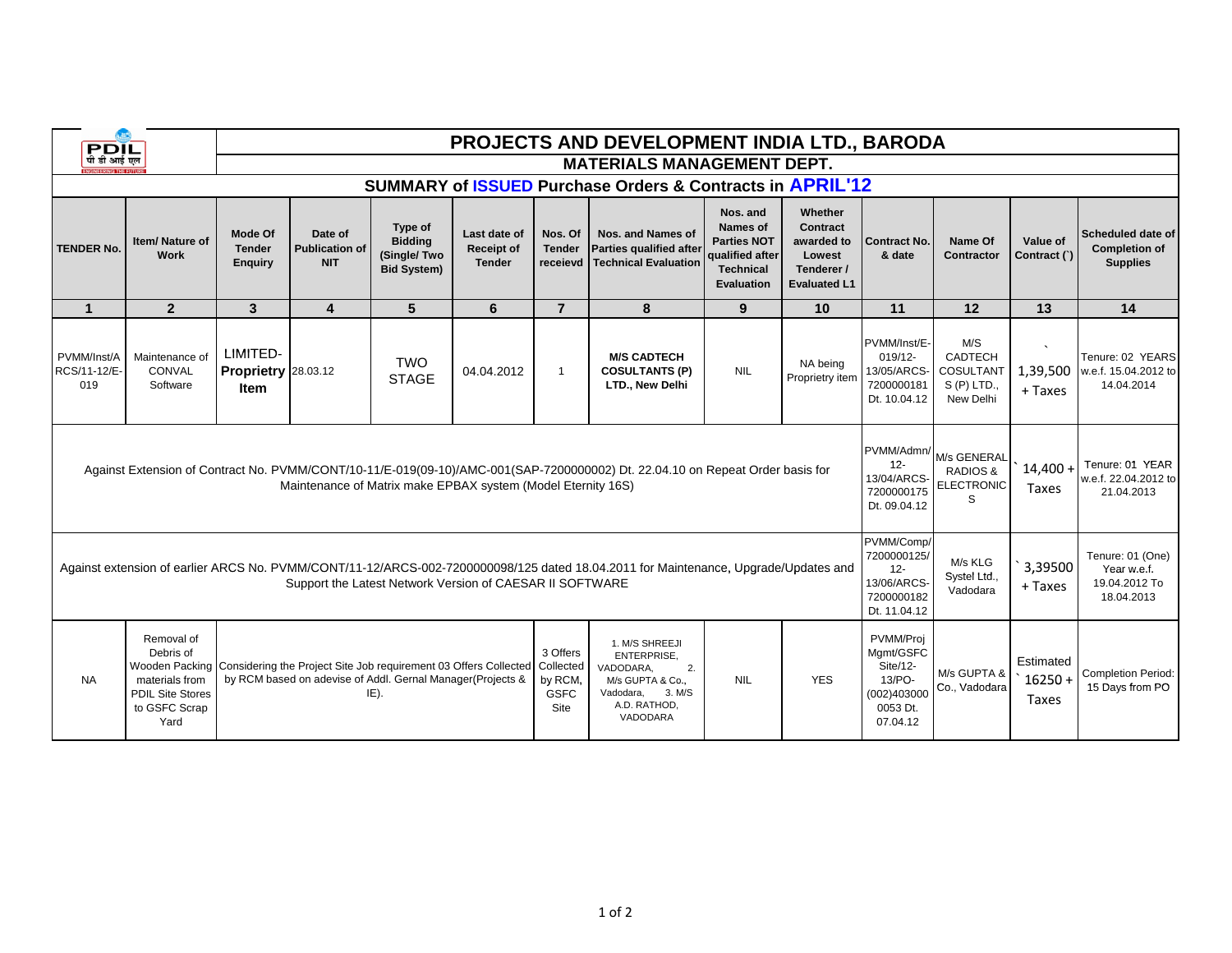| <b>PDIL</b><br>पी डी आई एल                                                                                                                                                                      |                                                                                               | <b>PROJECTS AND DEVELOPMENT INDIA LTD., BARODA</b>                                                                                                                                        |                                                |                                                                |                                             |                                      |                                                                                                                                |                                                                                                        |                                                                                  |                                                                                     |                                                                 |                                        |                                                                |
|-------------------------------------------------------------------------------------------------------------------------------------------------------------------------------------------------|-----------------------------------------------------------------------------------------------|-------------------------------------------------------------------------------------------------------------------------------------------------------------------------------------------|------------------------------------------------|----------------------------------------------------------------|---------------------------------------------|--------------------------------------|--------------------------------------------------------------------------------------------------------------------------------|--------------------------------------------------------------------------------------------------------|----------------------------------------------------------------------------------|-------------------------------------------------------------------------------------|-----------------------------------------------------------------|----------------------------------------|----------------------------------------------------------------|
|                                                                                                                                                                                                 |                                                                                               | <b>MATERIALS MANAGEMENT DEPT.</b>                                                                                                                                                         |                                                |                                                                |                                             |                                      |                                                                                                                                |                                                                                                        |                                                                                  |                                                                                     |                                                                 |                                        |                                                                |
| SUMMARY of ISSUED Purchase Orders & Contracts in APRIL'12                                                                                                                                       |                                                                                               |                                                                                                                                                                                           |                                                |                                                                |                                             |                                      |                                                                                                                                |                                                                                                        |                                                                                  |                                                                                     |                                                                 |                                        |                                                                |
| <b>TENDER No.</b>                                                                                                                                                                               | Item/Nature of<br>Work                                                                        | <b>Mode Of</b><br><b>Tender</b><br><b>Enquiry</b>                                                                                                                                         | Date of<br><b>Publication of</b><br><b>NIT</b> | Type of<br><b>Bidding</b><br>(Single/Two<br><b>Bid System)</b> | Last date of<br>Receipt of<br><b>Tender</b> | Nos. Of<br><b>Tender</b><br>receievd | Nos. and Names of<br>Parties qualified after<br>Technical Evaluation                                                           | Nos. and<br><b>Names of</b><br><b>Parties NOT</b><br>qualified after<br><b>Technical</b><br>Evaluation | Whether<br>Contract<br>awarded to<br>Lowest<br>Tenderer /<br><b>Evaluated L1</b> | <b>Contract No.</b><br>& date                                                       | Name Of<br>Contractor                                           | Value of<br>Contract (`)               | Scheduled date of<br><b>Completion of</b><br><b>Supplies</b>   |
| $\mathbf{1}$                                                                                                                                                                                    | $\overline{2}$                                                                                | 3                                                                                                                                                                                         | 4                                              | 5                                                              | 6                                           | $\overline{7}$                       | 8                                                                                                                              | 9                                                                                                      | 10                                                                               | 11                                                                                  | 12                                                              | 13                                     | 14                                                             |
| PVMM/Inst/A<br>RCS/11-12/E-<br>019                                                                                                                                                              | Maintenance of<br>CONVAL<br>Software                                                          | LIMITED-<br>Proprietry 28.03.12<br>Item                                                                                                                                                   |                                                | <b>TWO</b><br><b>STAGE</b>                                     | 04.04.2012                                  | $\mathbf{1}$                         | <b>M/S CADTECH</b><br><b>COSULTANTS (P)</b><br>LTD., New Delhi                                                                 | <b>NIL</b>                                                                                             | NA being<br>Proprietry item                                                      | PVMM/Inst/E-<br>019/12-<br>13/05/ARCS-<br>7200000181<br>Dt. 10.04.12                | M/S<br><b>CADTECH</b><br>COSULTANT<br>$S(P)$ LTD.,<br>New Delhi | 1,39,500<br>+ Taxes                    | Tenure: 02 YEARS<br>w.e.f. 15.04.2012 to<br>14.04.2014         |
| Against Extension of Contract No. PVMM/CONT/10-11/E-019(09-10)/AMC-001(SAP-7200000002) Dt. 22.04.10 on Repeat Order basis for<br>Maintenance of Matrix make EPBAX system (Model Eternity 16S)   |                                                                                               |                                                                                                                                                                                           |                                                |                                                                |                                             |                                      |                                                                                                                                |                                                                                                        |                                                                                  | PVMM/Admn/<br>$12 -$<br>13/04/ARCS-<br>7200000175<br>Dt. 09.04.12                   | M/s GENERAL<br><b>RADIOS &amp;</b><br>ELECTRONIC<br>S           | $14.400 +$<br>Taxes                    | Tenure: 01 YEAR<br>w.e.f. 22.04.2012 to<br>21.04.2013          |
| Against extension of earlier ARCS No. PVMM/CONT/11-12/ARCS-002-7200000098/125 dated 18.04.2011 for Maintenance, Upgrade/Updates and<br>Support the Latest Network Version of CAESAR II SOFTWARE |                                                                                               |                                                                                                                                                                                           |                                                |                                                                |                                             |                                      |                                                                                                                                |                                                                                                        |                                                                                  | PVMM/Comp/<br>7200000125/<br>$12 -$<br>13/06/ARCS-<br>7200000182<br>Dt. 11.04.12    | M/s KLG<br>Systel Ltd.,<br>Vadodara                             | 3,39500<br>+ Taxes                     | Tenure: 01 (One)<br>Year w.e.f.<br>19.04.2012 To<br>18.04.2013 |
| <b>NA</b>                                                                                                                                                                                       | Removal of<br>Debris of<br>materials from<br><b>PDIL Site Stores</b><br>to GSFC Scrap<br>Yard | 3 Offers<br>Wooden Packing Considering the Project Site Job requirement 03 Offers Collected<br>Collected<br>by RCM based on adevise of Addl. Gernal Manager(Projects &<br>by RCM.<br>IE). |                                                |                                                                |                                             |                                      | 1. M/S SHREEJI<br><b>ENTERPRISE.</b><br>VADODARA,<br>2.<br>M/s GUPTA & Co.,<br>3. M/S<br>Vadodara,<br>A.D. RATHOD,<br>VADODARA | <b>NIL</b>                                                                                             | <b>YES</b>                                                                       | PVMM/Proj<br>Mgmt/GSFC<br>Site/12-<br>13/PO-<br>(002)403000<br>0053 Dt.<br>07.04.12 | M/s GUPTA &<br>Co., Vadodara                                    | Estimated<br>$16250 +$<br><b>Taxes</b> | <b>Completion Period:</b><br>15 Days from PO                   |